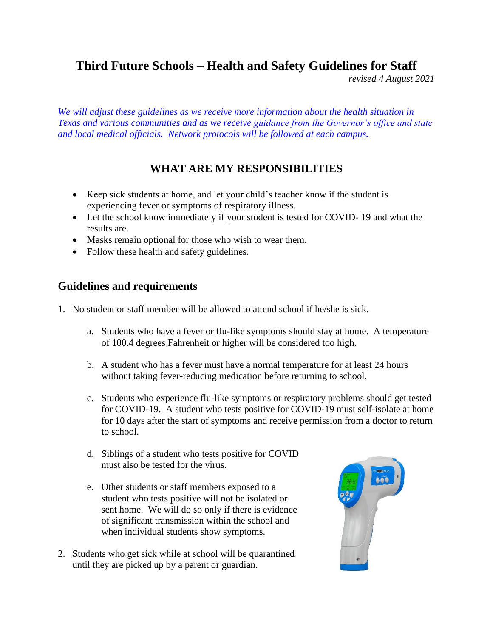# **Third Future Schools – Health and Safety Guidelines for Staff**

*revised 4 August 2021*

*We will adjust these guidelines as we receive more information about the health situation in Texas and various communities and as we receive guidance from the Governor's office and state and local medical officials. Network protocols will be followed at each campus.*

## **WHAT ARE MY RESPONSIBILITIES**

- Keep sick students at home, and let your child's teacher know if the student is experiencing fever or symptoms of respiratory illness.
- Let the school know immediately if your student is tested for COVID-19 and what the results are.
- Masks remain optional for those who wish to wear them.
- Follow these health and safety guidelines.

### **Guidelines and requirements**

- 1. No student or staff member will be allowed to attend school if he/she is sick.
	- a. Students who have a fever or flu-like symptoms should stay at home. A temperature of 100.4 degrees Fahrenheit or higher will be considered too high.
	- b. A student who has a fever must have a normal temperature for at least 24 hours without taking fever-reducing medication before returning to school.
	- c. Students who experience flu-like symptoms or respiratory problems should get tested for COVID-19. A student who tests positive for COVID-19 must self-isolate at home for 10 days after the start of symptoms and receive permission from a doctor to return to school.
	- d. Siblings of a student who tests positive for COVID must also be tested for the virus.
	- e. Other students or staff members exposed to a student who tests positive will not be isolated or sent home. We will do so only if there is evidence of significant transmission within the school and when individual students show symptoms.
- 2. Students who get sick while at school will be quarantined until they are picked up by a parent or guardian.

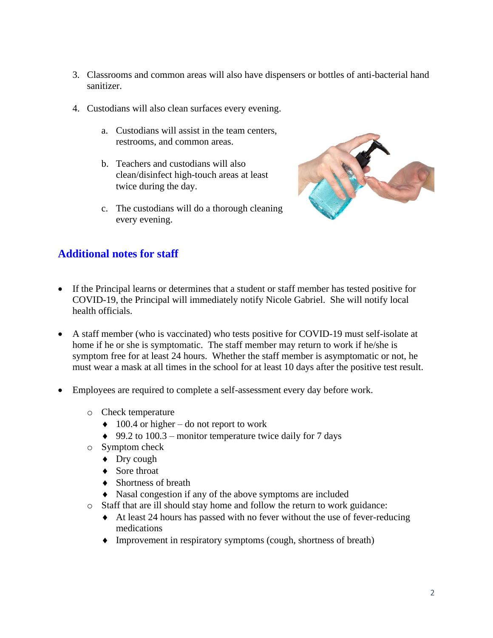- 3. Classrooms and common areas will also have dispensers or bottles of anti-bacterial hand sanitizer.
- 4. Custodians will also clean surfaces every evening.
	- a. Custodians will assist in the team centers, restrooms, and common areas.
	- b. Teachers and custodians will also clean/disinfect high-touch areas at least twice during the day.
	- c. The custodians will do a thorough cleaning every evening.



## **Additional notes for staff**

- If the Principal learns or determines that a student or staff member has tested positive for COVID-19, the Principal will immediately notify Nicole Gabriel. She will notify local health officials.
- A staff member (who is vaccinated) who tests positive for COVID-19 must self-isolate at home if he or she is symptomatic. The staff member may return to work if he/she is symptom free for at least 24 hours. Whether the staff member is asymptomatic or not, he must wear a mask at all times in the school for at least 10 days after the positive test result.
- Employees are required to complete a self-assessment every day before work.
	- o Check temperature
		- $\triangleleft$  100.4 or higher do not report to work
		- $\triangleq$  99.2 to 100.3 monitor temperature twice daily for 7 days
	- o Symptom check
		- ◆ Dry cough
		- ◆ Sore throat
		- ◆ Shortness of breath
		- Nasal congestion if any of the above symptoms are included
	- o Staff that are ill should stay home and follow the return to work guidance:
		- $\triangleleft$  At least 24 hours has passed with no fever without the use of fever-reducing medications
		- Improvement in respiratory symptoms (cough, shortness of breath)